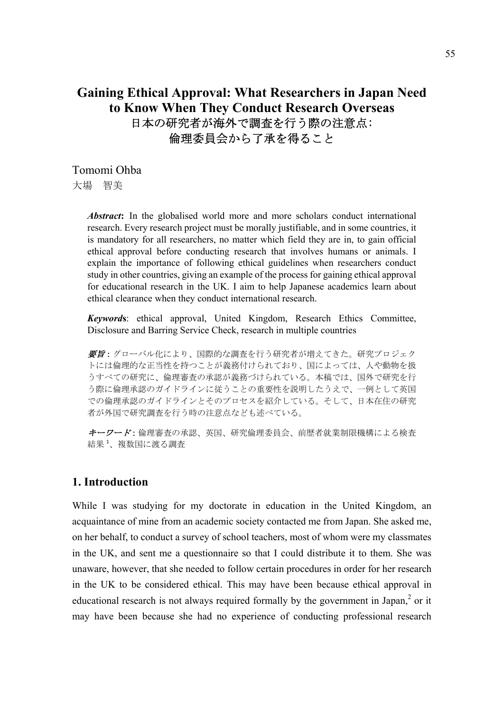# **Gaining Ethical Approval: What Researchers in Japan Need to Know When They Conduct Research Overseas**  日本の研究者が海外で調査を行う際の注意点: 倫理委員会から了承を得ること

Tomomi Ohba 大場 智美

> *Abstract***:** In the globalised world more and more scholars conduct international research. Every research project must be morally justifiable, and in some countries, it is mandatory for all researchers, no matter which field they are in, to gain official ethical approval before conducting research that involves humans or animals. I explain the importance of following ethical guidelines when researchers conduct study in other countries, giving an example of the process for gaining ethical approval for educational research in the UK. I aim to help Japanese academics learn about ethical clearance when they conduct international research.

> *Keyword***s**: ethical approval, United Kingdom, Research Ethics Committee, Disclosure and Barring Service Check, research in multiple countries

> 要旨:グローバル化により、国際的な調査を行う研究者が増えてきた。研究プロジェク トには倫理的な正当性を持つことが義務付けられており、国によっては、人や動物を扱 うすべての研究に、倫理審査の承認が義務づけられている。本稿では、国外で研究を行 う際に倫理承認のガイドラインに従うことの重要性を説明したうえで、一例として英国 での倫理承認のガイドラインとそのプロセスを紹介している。そして、日本在住の研究 者が外国で研究調査を行う時の注意点なども述べている。

> キーワード:倫理審査の承認、英国、研究倫理委員会、前歴者就業制限機構による検査 結果1、複数国に渡る調査

### **1. Introduction**

While I was studying for my doctorate in education in the United Kingdom, an acquaintance of mine from an academic society contacted me from Japan. She asked me, on her behalf, to conduct a survey of school teachers, most of whom were my classmates in the UK, and sent me a questionnaire so that I could distribute it to them. She was unaware, however, that she needed to follow certain procedures in order for her research in the UK to be considered ethical. This may have been because ethical approval in educational research is not always required formally by the government in Japan, $<sup>2</sup>$  or it</sup> may have been because she had no experience of conducting professional research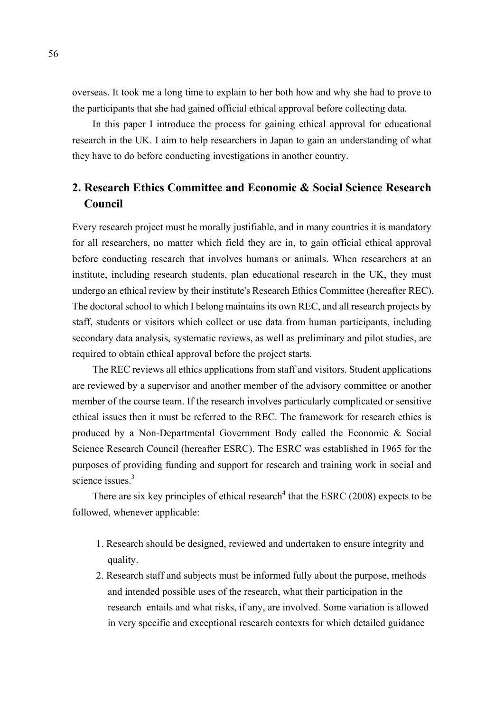overseas. It took me a long time to explain to her both how and why she had to prove to the participants that she had gained official ethical approval before collecting data.

 In this paper I introduce the process for gaining ethical approval for educational research in the UK. I aim to help researchers in Japan to gain an understanding of what they have to do before conducting investigations in another country.

# **2. Research Ethics Committee and Economic & Social Science Research Council**

Every research project must be morally justifiable, and in many countries it is mandatory for all researchers, no matter which field they are in, to gain official ethical approval before conducting research that involves humans or animals. When researchers at an institute, including research students, plan educational research in the UK, they must undergo an ethical review by their institute's Research Ethics Committee (hereafter REC). The doctoral school to which I belong maintains its own REC, and all research projects by staff, students or visitors which collect or use data from human participants, including secondary data analysis, systematic reviews, as well as preliminary and pilot studies, are required to obtain ethical approval before the project starts.

 The REC reviews all ethics applications from staff and visitors. Student applications are reviewed by a supervisor and another member of the advisory committee or another member of the course team. If the research involves particularly complicated or sensitive ethical issues then it must be referred to the REC. The framework for research ethics is produced by a Non-Departmental Government Body called the Economic & Social Science Research Council (hereafter ESRC). The ESRC was established in 1965 for the purposes of providing funding and support for research and training work in social and science issues.<sup>3</sup>

There are six key principles of ethical research<sup>4</sup> that the ESRC (2008) expects to be followed, whenever applicable:

- 1. Research should be designed, reviewed and undertaken to ensure integrity and quality.
- 2. Research staff and subjects must be informed fully about the purpose, methods and intended possible uses of the research, what their participation in the research entails and what risks, if any, are involved. Some variation is allowed in very specific and exceptional research contexts for which detailed guidance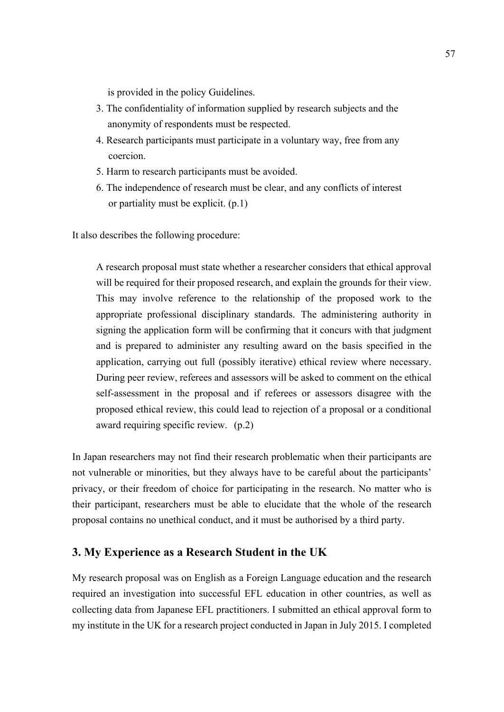is provided in the policy Guidelines.

- 3. The confidentiality of information supplied by research subjects and the anonymity of respondents must be respected.
- 4. Research participants must participate in a voluntary way, free from any coercion.
- 5. Harm to research participants must be avoided.
- 6. The independence of research must be clear, and any conflicts of interest or partiality must be explicit. (p.1)

It also describes the following procedure:

A research proposal must state whether a researcher considers that ethical approval will be required for their proposed research, and explain the grounds for their view. This may involve reference to the relationship of the proposed work to the appropriate professional disciplinary standards. The administering authority in signing the application form will be confirming that it concurs with that judgment and is prepared to administer any resulting award on the basis specified in the application, carrying out full (possibly iterative) ethical review where necessary. During peer review, referees and assessors will be asked to comment on the ethical self-assessment in the proposal and if referees or assessors disagree with the proposed ethical review, this could lead to rejection of a proposal or a conditional award requiring specific review. (p.2)

In Japan researchers may not find their research problematic when their participants are not vulnerable or minorities, but they always have to be careful about the participants' privacy, or their freedom of choice for participating in the research. No matter who is their participant, researchers must be able to elucidate that the whole of the research proposal contains no unethical conduct, and it must be authorised by a third party.

### **3. My Experience as a Research Student in the UK**

My research proposal was on English as a Foreign Language education and the research required an investigation into successful EFL education in other countries, as well as collecting data from Japanese EFL practitioners. I submitted an ethical approval form to my institute in the UK for a research project conducted in Japan in July 2015. I completed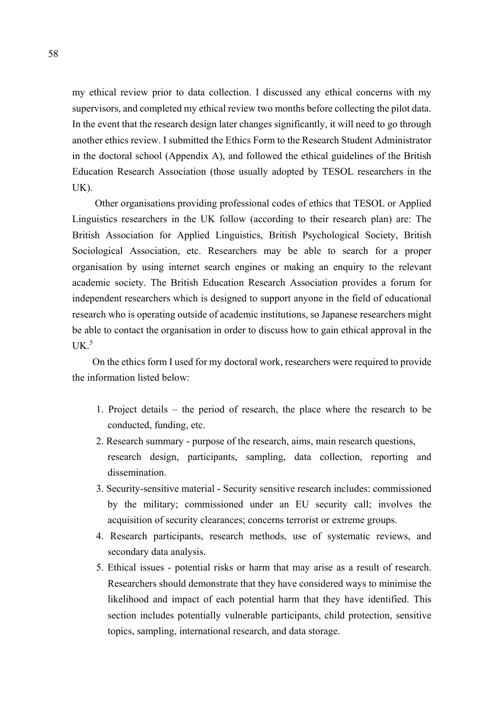my ethical review prior to data collection. I discussed any ethical concerns with my supervisors, and completed my ethical review two months before collecting the pilot data. In the event that the research design later changes significantly, it will need to go through another ethics review. I submitted the Ethics Form to the Research Student Administrator in the doctoral school (Appendix A), and followed the ethical guidelines of the British Education Research Association (those usually adopted by TESOL researchers in the UK).

Other organisations providing professional codes of ethics that TESOL or Applied Linguistics researchers in the UK follow (according to their research plan) are: The British Association for Applied Linguistics, British Psychological Society, British Sociological Association, etc. Researchers may be able to search for a proper organisation by using internet search engines or making an enquiry to the relevant academic society. The British Education Research Association provides a forum for independent researchers which is designed to support anyone in the field of educational research who is operating outside of academic institutions, so Japanese researchers might be able to contact the organisation in order to discuss how to gain ethical approval in the  $UK.<sup>5</sup>$ 

 On the ethics form I used for my doctoral work, researchers were required to provide the information listed below:

- 1. Project details the period of research, the place where the research to be conducted, funding, etc.
- 2. Research summary purpose of the research, aims, main research questions, research design, participants, sampling, data collection, reporting and dissemination.
- 3. Security-sensitive material Security sensitive research includes: commissioned by the military; commissioned under an EU security call; involves the acquisition of security clearances; concerns terrorist or extreme groups.
- 4. Research participants, research methods, use of systematic reviews, and secondary data analysis.
- 5. Ethical issues potential risks or harm that may arise as a result of research. Researchers should demonstrate that they have considered ways to minimise the likelihood and impact of each potential harm that they have identified. This section includes potentially vulnerable participants, child protection, sensitive topics, sampling, international research, and data storage.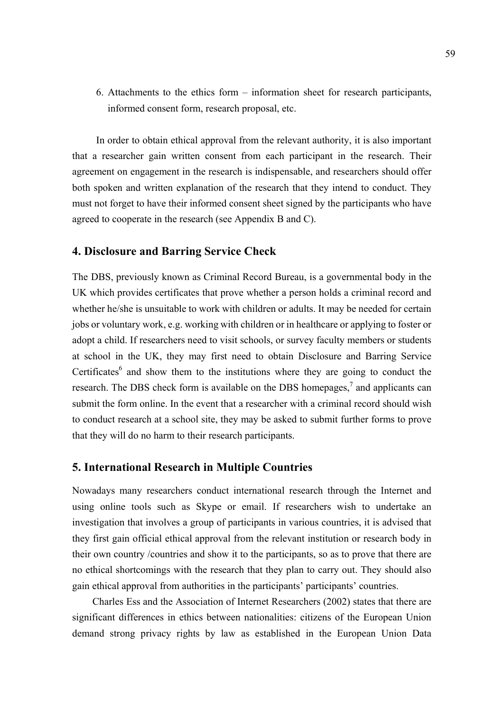6. Attachments to the ethics form – information sheet for research participants, informed consent form, research proposal, etc.

In order to obtain ethical approval from the relevant authority, it is also important that a researcher gain written consent from each participant in the research. Their agreement on engagement in the research is indispensable, and researchers should offer both spoken and written explanation of the research that they intend to conduct. They must not forget to have their informed consent sheet signed by the participants who have agreed to cooperate in the research (see Appendix B and C).

#### **4. Disclosure and Barring Service Check**

The DBS, previously known as Criminal Record Bureau, is a governmental body in the UK which provides certificates that prove whether a person holds a criminal record and whether he/she is unsuitable to work with children or adults. It may be needed for certain jobs or voluntary work, e.g. working with children or in healthcare or applying to foster or adopt a child. If researchers need to visit schools, or survey faculty members or students at school in the UK, they may first need to obtain Disclosure and Barring Service Certificates $6$  and show them to the institutions where they are going to conduct the research. The DBS check form is available on the DBS homepages, $^7$  and applicants can submit the form online. In the event that a researcher with a criminal record should wish to conduct research at a school site, they may be asked to submit further forms to prove that they will do no harm to their research participants.

#### **5. International Research in Multiple Countries**

Nowadays many researchers conduct international research through the Internet and using online tools such as Skype or email. If researchers wish to undertake an investigation that involves a group of participants in various countries, it is advised that they first gain official ethical approval from the relevant institution or research body in their own country /countries and show it to the participants, so as to prove that there are no ethical shortcomings with the research that they plan to carry out. They should also gain ethical approval from authorities in the participants' participants' countries.

 Charles Ess and the Association of Internet Researchers (2002) states that there are significant differences in ethics between nationalities: citizens of the European Union demand strong privacy rights by law as established in the European Union Data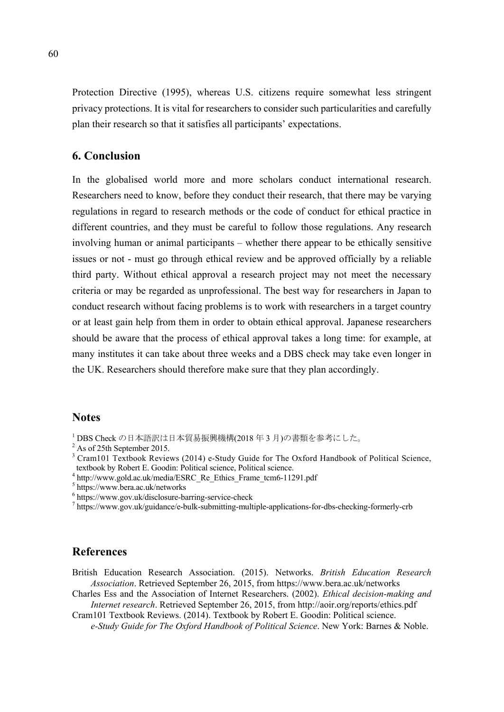Protection Directive (1995), whereas U.S. citizens require somewhat less stringent privacy protections. It is vital for researchers to consider such particularities and carefully plan their research so that it satisfies all participants' expectations.

### **6. Conclusion**

In the globalised world more and more scholars conduct international research. Researchers need to know, before they conduct their research, that there may be varying regulations in regard to research methods or the code of conduct for ethical practice in different countries, and they must be careful to follow those regulations. Any research involving human or animal participants – whether there appear to be ethically sensitive issues or not - must go through ethical review and be approved officially by a reliable third party. Without ethical approval a research project may not meet the necessary criteria or may be regarded as unprofessional. The best way for researchers in Japan to conduct research without facing problems is to work with researchers in a target country or at least gain help from them in order to obtain ethical approval. Japanese researchers should be aware that the process of ethical approval takes a long time: for example, at many institutes it can take about three weeks and a DBS check may take even longer in the UK. Researchers should therefore make sure that they plan accordingly.

### **Notes**

- 1 DBS Check の日本語訳は日本貿易振興機構(2018 年 3 月)の書類を参考にした。
- <sup>2</sup> As of 25th September 2015.
- <sup>3</sup> Cram101 Textbook Reviews (2014) e-Study Guide for The Oxford Handbook of Political Science, textbook by Robert E. Goodin: Political science, Political science.
- <sup>4</sup> http://www.gold.ac.uk/media/ESRC\_Re\_Ethics\_Frame\_tcm6-11291.pdf
- 5 https://www.bera.ac.uk/networks
- 6 https://www.gov.uk/disclosure-barring-service-check
- 7 https://www.gov.uk/guidance/e-bulk-submitting-multiple-applications-for-dbs-checking-formerly-crb

### **References**

British Education Research Association. (2015). Networks. *British Education Research Association*. Retrieved September 26, 2015, from https://www.bera.ac.uk/networks

Charles Ess and the Association of Internet Researchers. (2002). *Ethical decision-making and Internet research*. Retrieved September 26, 2015, from http://aoir.org/reports/ethics.pdf

Cram101 Textbook Reviews. (2014). Textbook by Robert E. Goodin: Political science. *e-Study Guide for The Oxford Handbook of Political Science*. New York: Barnes & Noble.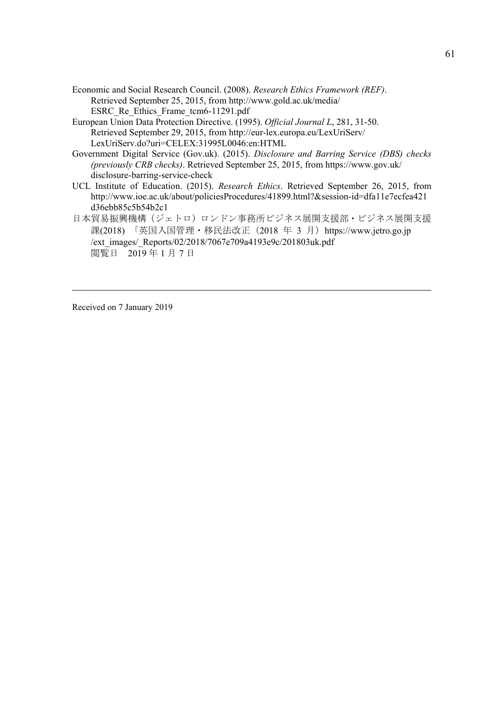- Economic and Social Research Council. (2008). *Research Ethics Framework (REF)*. Retrieved September 25, 2015, from http://www.gold.ac.uk/media/ ESRC\_Re\_Ethics\_Frame\_tcm6-11291.pdf
- European Union Data Protection Directive. (1995). *Official Journal L*, 281, 31-50. Retrieved September 29, 2015, from http://eur-lex.europa.eu/LexUriServ/ LexUriServ.do?uri=CELEX:31995L0046:en:HTML
- Government Digital Service (Gov.uk). (2015). *Disclosure and Barring Service (DBS) checks (previously CRB checks)*. Retrieved September 25, 2015, from https://www.gov.uk/ disclosure-barring-service-check
- UCL Institute of Education. (2015). *Research Ethics*. Retrieved September 26, 2015, from http://www.ioe.ac.uk/about/policiesProcedures/41899.html?&session-id=dfa11e7ecfea421 d36ebb85c5b54b2c1
- 日本貿易振興機構(ジェトロ)ロンドン事務所ビジネス展開支援部・ビジネス展開支援 課(2018) 「英国入国管理·移民法改正 (2018 年 3 月) https://www.jetro.go.jp /ext\_images/\_Reports/02/2018/7067e709a4193e9c/201803uk.pdf 閲覧日 2019年1月7日

Received on 7 January 2019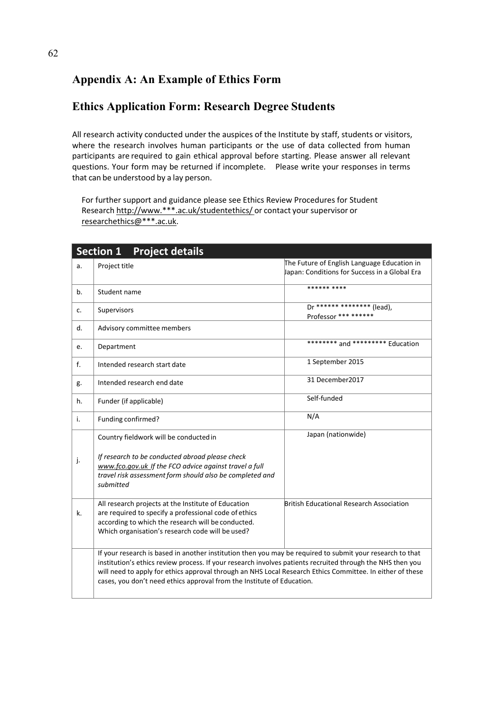# **Appendix A: An Example of Ethics Form**

# **Ethics Application Form: Research Degree Students**

All research activity conducted under the auspices of the Institute by staff, students or visitors, where the research involves human participants or the use of data collected from human participants are required to gain ethical approval before starting. Please answer all relevant questions. Your form may be returned if incomplete. Please write your responses in terms that can be understood by a lay person.

For further support and guidance please see Ethics Review Procedures for Student Research http://www.\*\*\*.ac.uk/studentethics/ or contact your supervisor or researchethics@\*\*\*.ac.uk.

|       | Section 1 Project details                                                                                                                                                                                                                                                                                                                                                                                      |                                                                                              |
|-------|----------------------------------------------------------------------------------------------------------------------------------------------------------------------------------------------------------------------------------------------------------------------------------------------------------------------------------------------------------------------------------------------------------------|----------------------------------------------------------------------------------------------|
| a.    | Project title                                                                                                                                                                                                                                                                                                                                                                                                  | The Future of English Language Education in<br>Japan: Conditions for Success in a Global Era |
| b.    | Student name                                                                                                                                                                                                                                                                                                                                                                                                   | ****** ****                                                                                  |
| C.    | Supervisors                                                                                                                                                                                                                                                                                                                                                                                                    | Dr ****** ******** (lead).<br>Professor *** ******                                           |
| $d$ . | Advisory committee members                                                                                                                                                                                                                                                                                                                                                                                     |                                                                                              |
| e.    | Department                                                                                                                                                                                                                                                                                                                                                                                                     | ******** and ********* Education                                                             |
| f.    | Intended research start date                                                                                                                                                                                                                                                                                                                                                                                   | 1 September 2015                                                                             |
| g.    | Intended research end date                                                                                                                                                                                                                                                                                                                                                                                     | 31 December 2017                                                                             |
| h.    | Funder (if applicable)                                                                                                                                                                                                                                                                                                                                                                                         | Self-funded                                                                                  |
| i.    | Funding confirmed?                                                                                                                                                                                                                                                                                                                                                                                             | N/A                                                                                          |
|       | Country fieldwork will be conducted in                                                                                                                                                                                                                                                                                                                                                                         | Japan (nationwide)                                                                           |
| j.    | If research to be conducted abroad please check<br>www.fco.gov.uk If the FCO advice against travel a full<br>travel risk assessment form should also be completed and<br>submitted                                                                                                                                                                                                                             |                                                                                              |
| k.    | All research projects at the Institute of Education<br>are required to specify a professional code of ethics<br>according to which the research will be conducted.<br>Which organisation's research code will be used?                                                                                                                                                                                         | <b>British Educational Research Association</b>                                              |
|       | If your research is based in another institution then you may be required to submit your research to that<br>institution's ethics review process. If your research involves patients recruited through the NHS then you<br>will need to apply for ethics approval through an NHS Local Research Ethics Committee. In either of these<br>cases, you don't need ethics approval from the Institute of Education. |                                                                                              |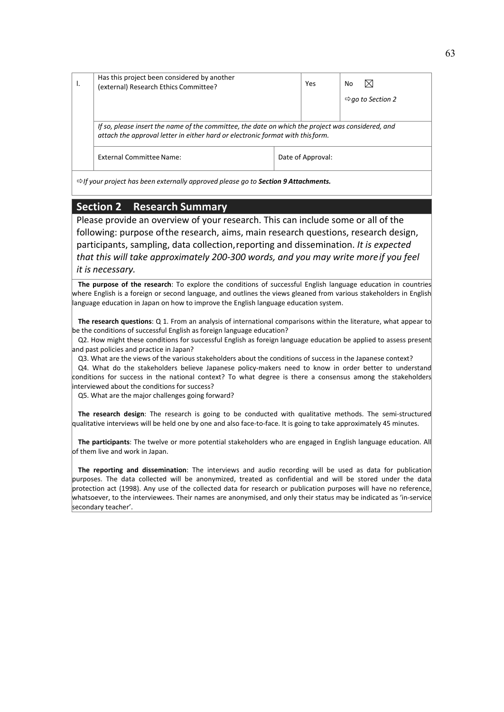| Has this project been considered by another<br>(external) Research Ethics Committee? | Yes               | ⊠<br>No                                                                                                                                                                             |
|--------------------------------------------------------------------------------------|-------------------|-------------------------------------------------------------------------------------------------------------------------------------------------------------------------------------|
|                                                                                      |                   | $\Rightarrow$ go to Section 2                                                                                                                                                       |
|                                                                                      |                   |                                                                                                                                                                                     |
| External Committee Name:                                                             | Date of Approval: |                                                                                                                                                                                     |
|                                                                                      |                   | If so, please insert the name of the committee, the date on which the project was considered, and<br>attach the approval letter in either hard or electronic format with this form. |

*If your project has been externally approved please go to Section 9 Attachments.*

### **Section 2 Research Summary**

Please provide an overview of your research. This can include some or all of the following: purpose ofthe research, aims, main research questions, research design, participants, sampling, data collection,reporting and dissemination. *It is expected that this will take approximately 200‐300 words, and you may write moreif you feel it is necessary.*

**The purpose of the research**: To explore the conditions of successful English language education in countries where English is a foreign or second language, and outlines the views gleaned from various stakeholders in English language education in Japan on how to improve the English language education system.

**The research questions**: Q 1. From an analysis of international comparisons within the literature, what appear to be the conditions of successful English as foreign language education?

Q2. How might these conditions for successful English as foreign language education be applied to assess present and past policies and practice in Japan?

Q3. What are the views of the various stakeholders about the conditions of success in the Japanese context?

Q4. What do the stakeholders believe Japanese policy-makers need to know in order better to understand conditions for success in the national context? To what degree is there a consensus among the stakeholders interviewed about the conditions for success?

Q5. What are the major challenges going forward?

**The research design**: The research is going to be conducted with qualitative methods. The semi‐structured qualitative interviews will be held one by one and also face‐to‐face. It is going to take approximately 45 minutes.

**The participants**: The twelve or more potential stakeholders who are engaged in English language education. All of them live and work in Japan.

**The reporting and dissemination**: The interviews and audio recording will be used as data for publication purposes. The data collected will be anonymized, treated as confidential and will be stored under the data protection act (1998). Any use of the collected data for research or publication purposes will have no reference, whatsoever, to the interviewees. Their names are anonymised, and only their status may be indicated as 'in‐service secondary teacher'.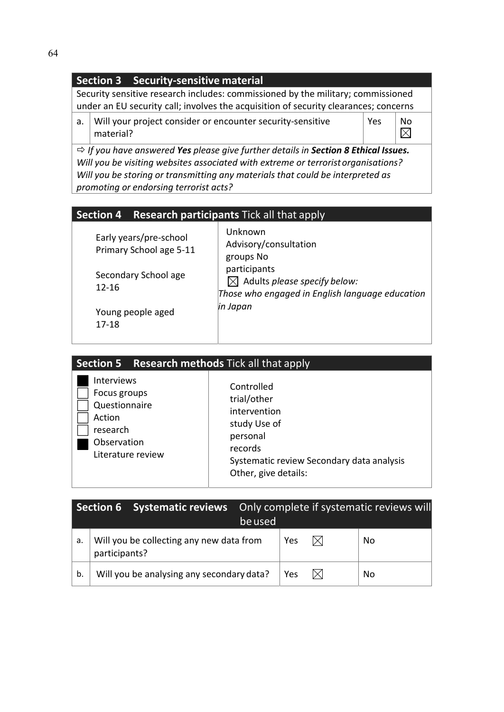## **Section 3 Security‐sensitive material**

Security sensitive research includes: commissioned by the military; commissioned under an EU security call; involves the acquisition of security clearances; concerns

a. Will your project consider or encounter security-sensitive material?

Yes  $\left| \begin{array}{c} \mathsf{No} \\ \hline \mathsf{No} \end{array} \right|$ 

*If you have answered Yes please give further details in Section 8 Ethical Issues. Will you be visiting websites associated with extreme or terroristorganisations? Will you be storing or transmitting any materials that could be interpreted as promoting or endorsing terrorist acts?*

## **Section 4 Research participants** Tick all that apply

| Early years/pre-school<br>Primary School age 5-11 | Unknown<br>Advisory/consultation<br>groups No                                                               |
|---------------------------------------------------|-------------------------------------------------------------------------------------------------------------|
| Secondary School age<br>12-16                     | participants<br>$\boxtimes$ Adults please specify below:<br>Those who engaged in English language education |
| Young people aged<br>17-18                        | in Japan                                                                                                    |

| <b>Section 5 Research methods Tick all that apply</b>                                                 |                                                                                                                                                       |
|-------------------------------------------------------------------------------------------------------|-------------------------------------------------------------------------------------------------------------------------------------------------------|
| Interviews<br>Focus groups<br>Questionnaire<br>Action<br>research<br>Observation<br>Literature review | Controlled<br>trial/other<br>intervention<br>study Use of<br>personal<br>records<br>Systematic review Secondary data analysis<br>Other, give details: |

|    |               | Section 6 Systematic reviews              | be used |     | Only complete if systematic reviews will |
|----|---------------|-------------------------------------------|---------|-----|------------------------------------------|
| a. | participants? | Will you be collecting any new data from  |         | Yes | No                                       |
| b. |               | Will you be analysing any secondary data? |         | Yes | No                                       |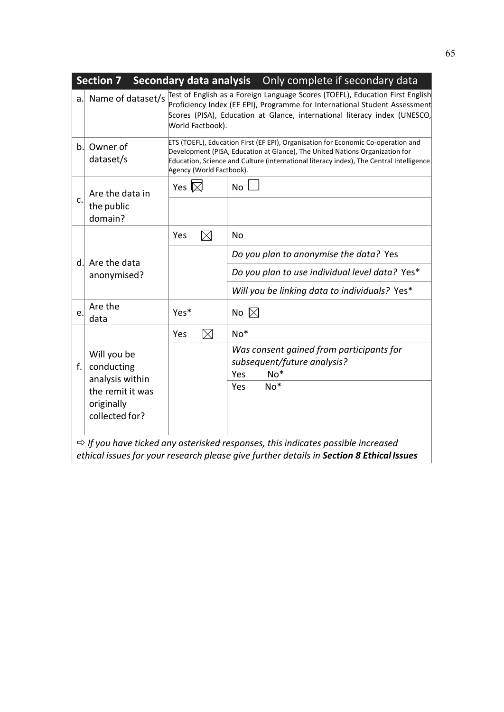|                | <b>Section 7</b>                                                                                                                                                                         |                          | Secondary data analysis  Only complete if secondary data                                                                                                                                                                                                     |  |  |  |
|----------------|------------------------------------------------------------------------------------------------------------------------------------------------------------------------------------------|--------------------------|--------------------------------------------------------------------------------------------------------------------------------------------------------------------------------------------------------------------------------------------------------------|--|--|--|
| a.             | Name of dataset/s                                                                                                                                                                        | World Factbook).         | Test of English as a Foreign Language Scores (TOEFL), Education First English<br>Proficiency Index (EF EPI), Programme for International Student Assessment<br>Scores (PISA), Education at Glance, international literacy index (UNESCO,                     |  |  |  |
| b <sub>1</sub> | Owner of<br>dataset/s                                                                                                                                                                    | Agency (World Factbook). | ETS (TOEFL), Education First (EF EPI), Organisation for Economic Co-operation and<br>Development (PISA, Education at Glance), The United Nations Organization for<br>Education, Science and Culture (international literacy index), The Central Intelligence |  |  |  |
|                | Are the data in                                                                                                                                                                          | Yes $\boxtimes$          | No                                                                                                                                                                                                                                                           |  |  |  |
| c.             | the public<br>domain?                                                                                                                                                                    |                          |                                                                                                                                                                                                                                                              |  |  |  |
|                |                                                                                                                                                                                          | $\boxtimes$<br>Yes       | <b>No</b>                                                                                                                                                                                                                                                    |  |  |  |
|                | d. Are the data                                                                                                                                                                          |                          | Do you plan to anonymise the data? Yes                                                                                                                                                                                                                       |  |  |  |
|                | anonymised?                                                                                                                                                                              |                          | Do you plan to use individual level data? Yes*                                                                                                                                                                                                               |  |  |  |
|                |                                                                                                                                                                                          |                          | Will you be linking data to individuals? Yes*                                                                                                                                                                                                                |  |  |  |
| e.             | Are the<br>data                                                                                                                                                                          | Yes*                     | No $\boxtimes$                                                                                                                                                                                                                                               |  |  |  |
|                |                                                                                                                                                                                          | $\boxtimes$<br>Yes       | $No*$                                                                                                                                                                                                                                                        |  |  |  |
| f.             | Will you be<br>conducting<br>analysis within                                                                                                                                             |                          | Was consent gained from participants for<br>subsequent/future analysis?<br>$No*$<br>Yes                                                                                                                                                                      |  |  |  |
|                | the remit it was<br>originally<br>collected for?                                                                                                                                         |                          | $No*$<br><b>Yes</b>                                                                                                                                                                                                                                          |  |  |  |
|                | $\Rightarrow$ If you have ticked any asterisked responses, this indicates possible increased<br>ethical issues for your research please give further details in Section 8 Ethical Issues |                          |                                                                                                                                                                                                                                                              |  |  |  |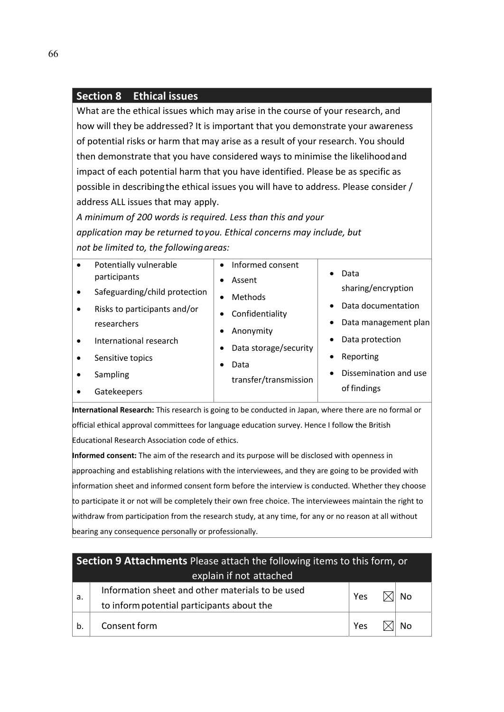### **Section 8 Ethical issues**

What are the ethical issues which may arise in the course of your research, and how will they be addressed? It is important that you demonstrate your awareness of potential risks or harm that may arise as a result of your research. You should then demonstrate that you have considered ways to minimise the likelihoodand impact of each potential harm that you have identified. Please be as specific as possible in describingthe ethical issues you will have to address. Please consider / address ALL issues that may apply.

*A minimum of 200 words is required. Less than this and your application may be returned toyou. Ethical concerns may include, but not be limited to, the followingareas:*

| Safeguarding/child protection<br>Methods<br>Data documentation<br>$\bullet$<br>Risks to participants and/or<br>$\bullet$<br>Confidentiality<br>Data management plan<br>$\bullet$<br>researchers<br>Anonymity<br>Data protection<br>٠<br>International research<br>$\bullet$<br>Data storage/security<br>Reporting<br>٠<br>Sensitive topics<br>$\bullet$<br>Data<br>Dissemination and use<br>$\bullet$<br>Sampling<br>$\bullet$<br>transfer/transmission<br>of findings<br>Gatekeepers | Informed consent<br>Potentially vulnerable<br>$\bullet$<br>Data<br>$\bullet$<br>participants<br>Assent<br>sharing/encryption<br>$\bullet$ |
|---------------------------------------------------------------------------------------------------------------------------------------------------------------------------------------------------------------------------------------------------------------------------------------------------------------------------------------------------------------------------------------------------------------------------------------------------------------------------------------|-------------------------------------------------------------------------------------------------------------------------------------------|
|---------------------------------------------------------------------------------------------------------------------------------------------------------------------------------------------------------------------------------------------------------------------------------------------------------------------------------------------------------------------------------------------------------------------------------------------------------------------------------------|-------------------------------------------------------------------------------------------------------------------------------------------|

**International Research:** This research is going to be conducted in Japan, where there are no formal or official ethical approval committees for language education survey. Hence I follow the British Educational Research Association code of ethics.

**Informed consent:** The aim of the research and its purpose will be disclosed with openness in approaching and establishing relations with the interviewees, and they are going to be provided with information sheet and informed consent form before the interview is conducted. Whether they choose to participate it or not will be completely their own free choice. The interviewees maintain the right to withdraw from participation from the research study, at any time, for any or no reason at all without bearing any consequence personally or professionally.

| Section 9 Attachments Please attach the following items to this form, or |                                                                                                |     |  |     |  |  |
|--------------------------------------------------------------------------|------------------------------------------------------------------------------------------------|-----|--|-----|--|--|
|                                                                          | explain if not attached                                                                        |     |  |     |  |  |
| а.                                                                       | Information sheet and other materials to be used<br>to inform potential participants about the | Yes |  | No. |  |  |
| b.                                                                       | Consent form<br>Yes                                                                            |     |  |     |  |  |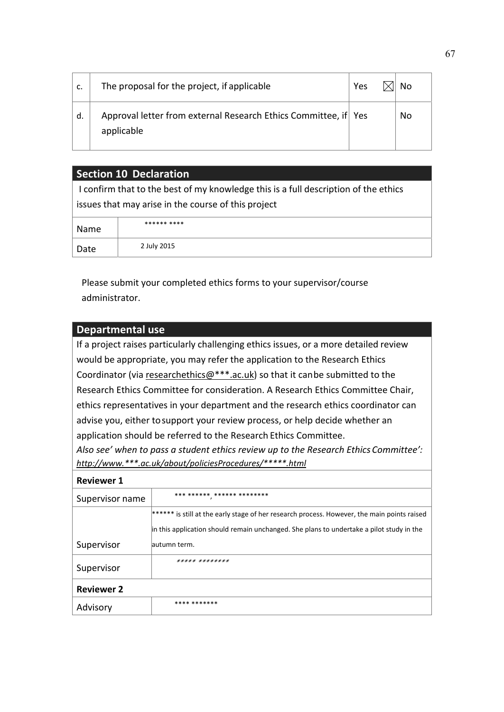| c. | The proposal for the project, if applicable                                   | Yes | No |
|----|-------------------------------------------------------------------------------|-----|----|
| d. | Approval letter from external Research Ethics Committee, if Yes<br>applicable |     | No |

### **Section 10 Declaration**

I confirm that to the best of my knowledge this is a full description of the ethics issues that may arise in the course of this project

| Name | ****** **** |
|------|-------------|
| Date | 2 July 2015 |

Please submit your completed ethics forms to your supervisor/course administrator.

### **Departmental use**

If a project raises particularly challenging ethics issues, or a more detailed review would be appropriate, you may refer the application to the Research Ethics Coordinator (via researchethics@\*\*\*.ac.uk) so that it canbe submitted to the Research Ethics Committee for consideration. A Research Ethics Committee Chair, ethics representatives in your department and the research ethics coordinator can advise you, either tosupport your review process, or help decide whether an application should be referred to the Research Ethics Committee. *Also see' when to pass a student ethics review up to the Research Ethics Committee': http://www.\*\*\*.ac.uk/about/policiesProcedures/\*\*\*\*\*.html*

#### **Reviewer 1**

| Supervisor name   | *** ****** ****** ********                                                                  |
|-------------------|---------------------------------------------------------------------------------------------|
|                   | ****** is still at the early stage of her research process. However, the main points raised |
|                   | in this application should remain unchanged. She plans to undertake a pilot study in the    |
| Supervisor        | autumn term.                                                                                |
| Supervisor        | ***** ********                                                                              |
| <b>Reviewer 2</b> |                                                                                             |
| Advisory          | **** *******                                                                                |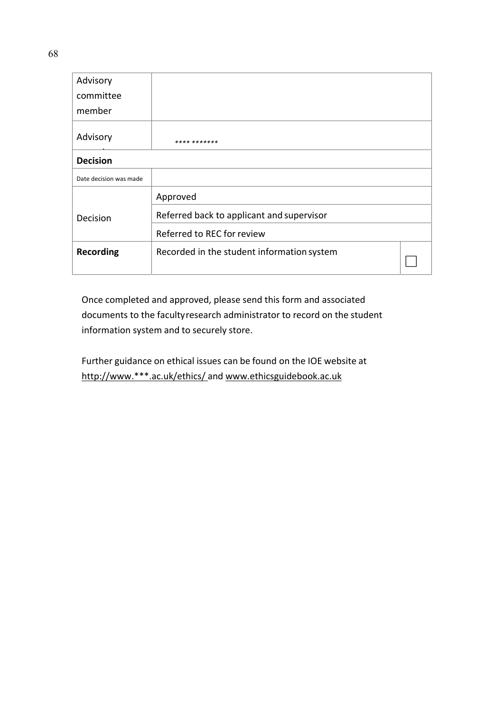| Advisory               |                                            |  |
|------------------------|--------------------------------------------|--|
| committee              |                                            |  |
| member                 |                                            |  |
| Advisory               | **** *******                               |  |
| <b>Decision</b>        |                                            |  |
| Date decision was made |                                            |  |
|                        | Approved                                   |  |
| Decision               | Referred back to applicant and supervisor  |  |
|                        | Referred to REC for review                 |  |
| <b>Recording</b>       | Recorded in the student information system |  |

Once completed and approved, please send this form and associated documents to the facultyresearch administrator to record on the student information system and to securely store.

Further guidance on ethical issues can be found on the IOE website at http://www.\*\*\*.ac.uk/ethics/ and www.ethicsguidebook.ac.uk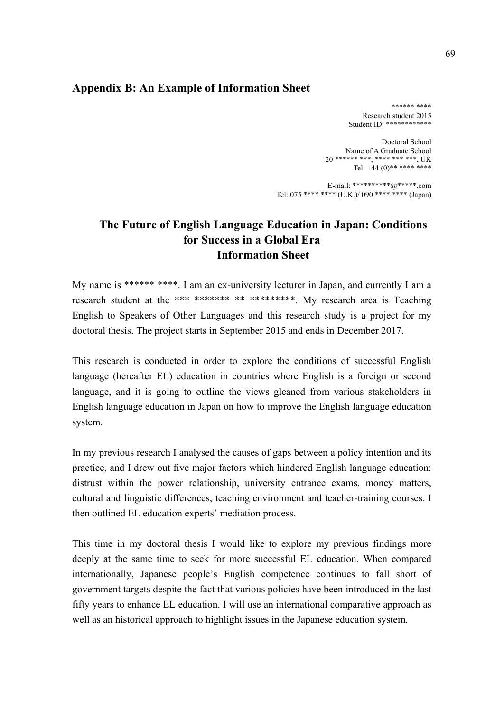## **Appendix B: An Example of Information Sheet**

 \*\*\*\*\*\* \*\*\*\* Research student 2015 Student ID: \*\*\*\*\*\*\*\*\*\*\*\*

Doctoral School Name of A Graduate School 20 \*\*\*\*\*\* \*\*\*, \*\*\*\* \*\*\* \*\*\*, UK Tel:  $+44(0)$ \*\* \*\*\*\* \*\*\*\*

E-mail: \*\*\*\*\*\*\*\*\*\*\*@\*\*\*\*\*\*.com Tel: 075 \*\*\*\* \*\*\*\* (U.K.)/ 090 \*\*\*\* \*\*\*\* (Japan)

# **The Future of English Language Education in Japan: Conditions for Success in a Global Era Information Sheet**

My name is \*\*\*\*\*\* \*\*\*\*. I am an ex-university lecturer in Japan, and currently I am a research student at the \*\*\* \*\*\*\*\*\*\* \*\* \*\*\*\*\*\*\*\*\*\*. My research area is Teaching English to Speakers of Other Languages and this research study is a project for my doctoral thesis. The project starts in September 2015 and ends in December 2017.

This research is conducted in order to explore the conditions of successful English language (hereafter EL) education in countries where English is a foreign or second language, and it is going to outline the views gleaned from various stakeholders in English language education in Japan on how to improve the English language education system.

In my previous research I analysed the causes of gaps between a policy intention and its practice, and I drew out five major factors which hindered English language education: distrust within the power relationship, university entrance exams, money matters, cultural and linguistic differences, teaching environment and teacher-training courses. I then outlined EL education experts' mediation process.

This time in my doctoral thesis I would like to explore my previous findings more deeply at the same time to seek for more successful EL education. When compared internationally, Japanese people's English competence continues to fall short of government targets despite the fact that various policies have been introduced in the last fifty years to enhance EL education. I will use an international comparative approach as well as an historical approach to highlight issues in the Japanese education system.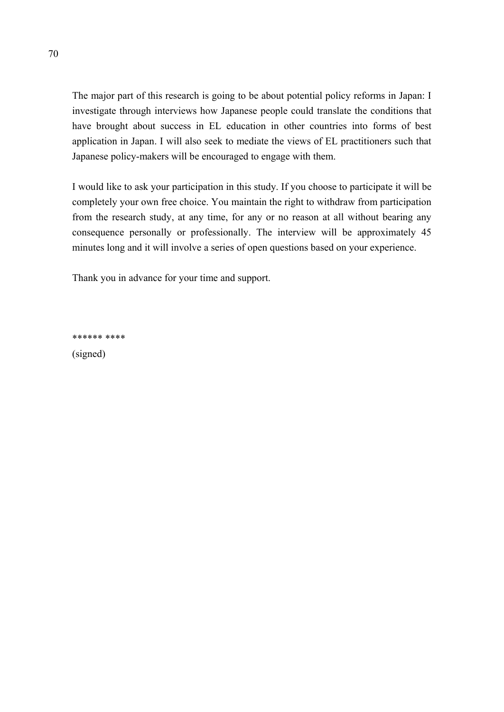The major part of this research is going to be about potential policy reforms in Japan: I investigate through interviews how Japanese people could translate the conditions that have brought about success in EL education in other countries into forms of best application in Japan. I will also seek to mediate the views of EL practitioners such that Japanese policy-makers will be encouraged to engage with them.

I would like to ask your participation in this study. If you choose to participate it will be completely your own free choice. You maintain the right to withdraw from participation from the research study, at any time, for any or no reason at all without bearing any consequence personally or professionally. The interview will be approximately 45 minutes long and it will involve a series of open questions based on your experience.

Thank you in advance for your time and support.

\*\*\*\*\*\* \*\*\*\*

(signed)